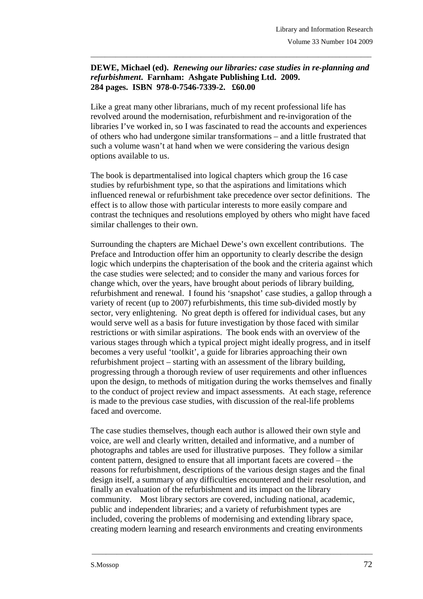## **DEWE, Michael (ed).** *Renewing our libraries: case studies in re-planning and refurbishment***. Farnham: Ashgate Publishing Ltd. 2009. 284 pages. ISBN 978-0-7546-7339-2. £60.00**

\_\_\_\_\_\_\_\_\_\_\_\_\_\_\_\_\_\_\_\_\_\_\_\_\_\_\_\_\_\_\_\_\_\_\_\_\_\_\_\_\_\_\_\_\_\_\_\_\_\_\_\_\_\_\_\_\_\_\_\_\_\_\_\_\_\_\_\_\_\_\_\_\_\_\_\_\_\_\_

Like a great many other librarians, much of my recent professional life has revolved around the modernisation, refurbishment and re-invigoration of the libraries I've worked in, so I was fascinated to read the accounts and experiences of others who had undergone similar transformations – and a little frustrated that such a volume wasn't at hand when we were considering the various design options available to us.

The book is departmentalised into logical chapters which group the 16 case studies by refurbishment type, so that the aspirations and limitations which influenced renewal or refurbishment take precedence over sector definitions. The effect is to allow those with particular interests to more easily compare and contrast the techniques and resolutions employed by others who might have faced similar challenges to their own.

Surrounding the chapters are Michael Dewe's own excellent contributions. The Preface and Introduction offer him an opportunity to clearly describe the design logic which underpins the chapterisation of the book and the criteria against which the case studies were selected; and to consider the many and various forces for change which, over the years, have brought about periods of library building, refurbishment and renewal. I found his 'snapshot' case studies, a gallop through a variety of recent (up to 2007) refurbishments, this time sub-divided mostly by sector, very enlightening. No great depth is offered for individual cases, but any would serve well as a basis for future investigation by those faced with similar restrictions or with similar aspirations. The book ends with an overview of the various stages through which a typical project might ideally progress, and in itself becomes a very useful 'toolkit', a guide for libraries approaching their own refurbishment project – starting with an assessment of the library building, progressing through a thorough review of user requirements and other influences upon the design, to methods of mitigation during the works themselves and finally to the conduct of project review and impact assessments. At each stage, reference is made to the previous case studies, with discussion of the real-life problems faced and overcome.

The case studies themselves, though each author is allowed their own style and voice, are well and clearly written, detailed and informative, and a number of photographs and tables are used for illustrative purposes. They follow a similar content pattern, designed to ensure that all important facets are covered – the reasons for refurbishment, descriptions of the various design stages and the final design itself, a summary of any difficulties encountered and their resolution, and finally an evaluation of the refurbishment and its impact on the library community. Most library sectors are covered, including national, academic, public and independent libraries; and a variety of refurbishment types are included, covering the problems of modernising and extending library space, creating modern learning and research environments and creating environments

\_\_\_\_\_\_\_\_\_\_\_\_\_\_\_\_\_\_\_\_\_\_\_\_\_\_\_\_\_\_\_\_\_\_\_\_\_\_\_\_\_\_\_\_\_\_\_\_\_\_\_\_\_\_\_\_\_\_\_\_\_\_\_\_\_\_\_\_\_\_\_\_\_\_\_\_\_\_\_